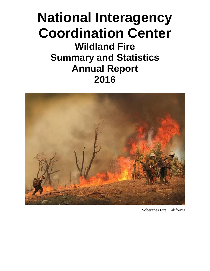# **National Interagency Coordination Center Wildland Fire Summary and Statistics Annual Report 2016**



Soberanes Fire, California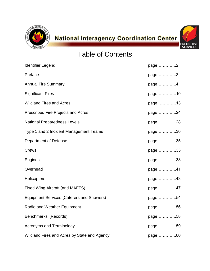



# Table of Contents

| <b>Identifier Legend</b>                         | page2   |
|--------------------------------------------------|---------|
| Preface                                          | page3   |
| <b>Annual Fire Summary</b>                       | page4   |
| <b>Significant Fires</b>                         | page10  |
| <b>Wildland Fires and Acres</b>                  | page 13 |
| Prescribed Fire Projects and Acres               | page24  |
| <b>National Preparedness Levels</b>              | page28  |
| Type 1 and 2 Incident Management Teams           | page30  |
| <b>Department of Defense</b>                     | page35  |
| Crews                                            | page35  |
| Engines                                          | page38  |
| Overhead                                         | page41  |
| <b>Helicopters</b>                               | page43  |
| <b>Fixed Wing Aircraft (and MAFFS)</b>           | page47  |
| <b>Equipment Services (Caterers and Showers)</b> | page54  |
| Radio and Weather Equipment                      | page56  |
| Benchmarks (Records)                             | page58  |
| <b>Acronyms and Terminology</b>                  | page59  |
| Wildland Fires and Acres by State and Agency     | page60  |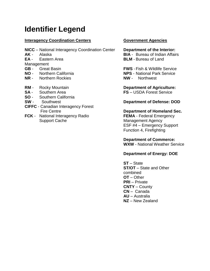# **Identifier Legend**

## **Interagency Coordination Centers <b>Government Agencies**

- **NICC** National Interagency Coordination Center **Department of the Interior:**
- 
- 

Management

- 
- 
- **NR** Northern Rockies **NW** Northwest
- 
- 
- **SO** Southern California
- 
- **CIFFC** Canadian Interagency Forest
- **FCK** National Interagency Radio **FEMA** Federal Emergency Support Cache Management Agency

**AK** - Alaska **BIA** - Bureau of Indian Affairs **EA** - Eastern Area **BLM** - Bureau of Land

**GB** - Great Basin **FWS** - Fish & Wildlife Service **NO** - Northern California **NPS** - National Park Service

**RM** - Rocky Mountain **Department of Agriculture: SA** - Southern Area **FS** – USDA Forest Service

#### **SW** - Southwest **Department of Defense: DOD**

Fire Centre **Centre 2018 Department of Homeland Sec.** ESF #4 – Emergency Support Function 4, Firefighting

> **Department of Commerce: WXW** - National Weather Service

## **Department of Energy: DOE**

**ST** – State **ST/OT** – State and Other combined **OT** – Other **PRI** – Private **CNTY** – County **CN** – Canada **AU** – Australia **NZ** – New Zealand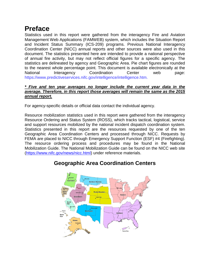# **Preface**

Statistics used in this report were gathered from the interagency Fire and Aviation Management Web Applications (FAMWEB) system, which includes the Situation Report and Incident Status Summary (ICS-209) programs. Previous National Interagency Coordination Center (NICC) annual reports and other sources were also used in this document. The statistics presented here are intended to provide a national perspective of annual fire activity, but may not reflect official figures for a specific agency. The statistics are delineated by agency and Geographic Area. Pie chart figures are rounded to the nearest whole percentage point. This document is available electronically at the National Interagency Coordination Center web page: https://www.predictiveservices.nifc.gov/intelligence/intelligence.htm.

#### *\* Five and ten year averages no longer include the current year data in the average. Therefore, in this report those averages will remain the same as the 2015 annual report.*

For agency-specific details or official data contact the individual agency.

Resource mobilization statistics used in this report were gathered from the interagency Resource Ordering and Status System (ROSS), which tracks tactical, logistical, service and support resources mobilized by the national incident dispatch coordination system. Statistics presented in this report are the resources requested by one of the ten Geographic Area Coordination Centers and processed through NICC. Requests by FEMA are placed to NICC through Emergency Support Function (ESF) #4 (Firefighting). The resource ordering process and procedures may be found in the National Mobilization Guide. The National Mobilization Guide can be found on the NICC web site [\(https://www.nifc.gov/news/nicc.html\)](https://www.nifc.gov/news/nicc.html) under reference materials.



# **Geographic Area Coordination Centers**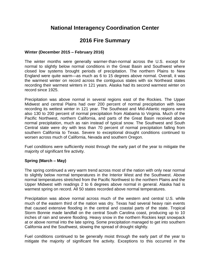# **National Interagency Coordination Center**

# **2016 Fire Summary**

### **Winter (December 2015 – February 2016)**

The winter months were generally warmer-than-normal across the U.S. except for normal to slightly below normal conditions in the Great Basin and Southwest where closed low systems brought periods of precipitation. The northern Plains to New England were quite warm—as much as 6 to 15 degrees above normal. Overall, it was the warmest winter on record across the contiguous states with six Northeast states recording their warmest winters in 121 years. Alaska had its second warmest winter on record since 1925.

Precipitation was above normal in several regions east of the Rockies. The Upper Midwest and central Plains had over 200 percent of normal precipitation with Iowa recording its wettest winter in 121 year. The Southeast and Mid-Atlantic regions were also 130 to 200 percent of normal precipitation from Alabama to Virginia. Much of the Pacific Northwest, northern California, and parts of the Great Basin received above normal precipitation, much as rain instead of typical snow. The Southwest and South Central state were dry with less than 70 percent of normal precipitation falling from southern California to Texas. Severe to exceptional drought conditions continued to worsen across much of California, Nevada and southern Oregon.

Fuel conditions were sufficiently moist through the early part of the year to mitigate the majority of significant fire activity.

#### **Spring (March – May)**

The spring continued a very warm trend across most of the nation with only near normal to slightly below normal temperatures in the Interior West and the Southwest. Above normal temperatures stretched from the Pacific Northwest to the northern Plains and the Upper Midwest with readings 2 to 6 degrees above normal in general. Alaska had is warmest spring on record. All 50 states recorded above normal temperatures.

Precipitation was above normal across much of the western and central U.S. while much of the eastern third of the nation was dry. Texas had several heavy rain events that caused extensive flooding in the central and coastal parts of the state. Tropical Storm Bonnie made landfall on the central South Carolina coast, producing up to 10 inches of rain and severe flooding. Heavy snow in the northern Rockies kept snowpack at or above normal into the late spring. Some precipitation managed to get into southern California and the Southwest, slowing the spread of drought slightly.

Fuel conditions continued to be generally moist through the early part of the year to mitigate the majority of significant fire activity. Exceptions to this occurred in the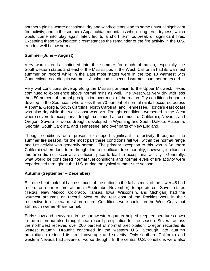southern plains where occasional dry and windy events lead to some unusual significant fire activity, and in the southern Appalachian mountains where long term dryness, which would come into play again later, led to a short term outbreak of significant fires. Excepting these two isolated circumstances the remainder of the fire activity in the U.S. trended well below normal.

#### **Summer (June – August)**

Very warm trends continued into the summer for much of nation, especially the Southwestern states and east of the Mississippi. In the West, California had its warmest summer on record while in the East most states were in the top 10 warmest with Connecticut recording its warmest. Alaska had its second warmest summer on record.

Very wet conditions develop along the Mississippi basin to the Upper Midwest. Texas continued to experience above normal rains as well. The West was very dry with less than 50 percent of normal precipitation over most of the region. Dry conditions began to develop in the Southeast where less than 70 percent of normal rainfall occurred across Alabama, Georgia, South Carolina, North Carolina, and Tennessee. Florida's east coast was also dry while the west coast was wet. Drought conditions worsened in the West where severe to exceptional drought continued across much of California, Nevada, and Oregon. Severe or worse drought developed in Wyoming and South Dakota; Alabama, Georgia, South Carolina, and Tennessee; and over parts of New England.

Though conditions were present to support significant fire activity throughout the summer fire season, for the most part these conditions fell well within the normal range and fire activity was generally normal. The primary exception to this was in Southern California where long term drought led to significant tree mortality; however, ignitions in this area did not occur at a sufficient pace to lead to exceptional activity. Generally, what would be considered normal fuel conditions and normal levels of fire activity were experienced throughout the U.S. during the typical summer fire season.

#### **Autumn (September – December)**

Extreme heat took hold across much of the nation in the fall as most of the lower 48 had record or near record autumn (September-November) temperatures. Seven states (Texas, New Mexico, Colorado, Kansas, Iowa, Wisconsin, and Michigan) had the warmest autumns on record. Most of the rest east of the Rockies were in their respective top five warmest on record. Conditions were cooler on the West Coast but still much warmer-than-normal.

Early snow and heavy rain in the northwestern quarter helped keep temperatures down in the region but also brought near-record precipitation for the season. Several across the northwest received over 200 percent of normal precipitation. Oregon recorded its wettest autumn. Drought continued in the western U.S. although late autumn precipitation reduced its areal coverage and severity. Only southern California and western Nevada had severe or worse drought. In the central U.S. conditions were also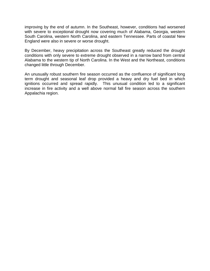improving by the end of autumn. In the Southeast, however, conditions had worsened with severe to exceptional drought now covering much of Alabama, Georgia, western South Carolina, western North Carolina, and eastern Tennessee. Parts of coastal New England were also in severe or worse drought.

By December, heavy precipitation across the Southeast greatly reduced the drought conditions with only severe to extreme drought observed in a narrow band from central Alabama to the western tip of North Carolina. In the West and the Northeast, conditions changed little through December.

An unusually robust southern fire season occurred as the confluence of significant long term drought and seasonal leaf drop provided a heavy and dry fuel bed in which ignitions occurred and spread rapidly. This unusual condition led to a significant increase in fire activity and a well above normal fall fire season across the southern Appalachia region.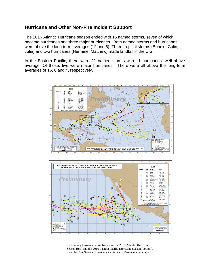# **Hurricane and Other Non-Fire Incident Support**

The 2016 Atlantic Hurricane season ended with 15 named storms, seven of which became hurricanes and three major hurricanes. Both named storms and hurricanes were above the long-term averages (12 and 6). Three tropical storms (Bonnie, Colin, Julia) and two hurricanes (Hermine, Matthew) made landfall in the U.S.

In the Eastern Pacific, there were 21 named storms with 11 hurricanes, well above average. Of those, five were major hurricanes. There were all above the long-term averages of 16, 8 and 4, respectively.





Preliminary hurricane storm tracks for the 2016 Atlantic Hurricane Season (top) and the 2016 Eastern Pacific Hurricane Season (bottom). From NOAA National Hurricane Center (http://www.nhc.noaa.gov/)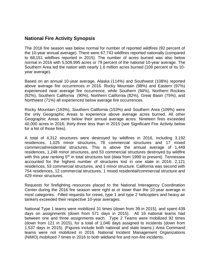## **National Fire Activity Synopsis**

The 2016 fire season was below normal for number of reported wildfires (92 percent of the 10-year annual average). There were 67,743 wildfires reported nationally (compared to 68,151 wildfires reported in 2015). The number of acres burned was also below normal in 2016 with 5,509,995 acres or 79 percent of the national 10-year average. The Southern Area led the nation with nearly 1.6 million acres burned (109 percent of its 10 year average).

Based on an annual 10-year average, Alaska (114%) and Southwest (108%) reported above average fire occurrences in 2016. Rocky Mountain (98%) and Eastern (97%) experienced near average fire occurrence, while Southern (94%), Northern Rockies (92%), Southern California (90%), Northern California (82%), Great Basin (75%), and Northwest (71%) all experienced below average fire occurrences.

Rocky Mountain (193%), Southern California (153%) and Southern Area (109%) were the only Geographic Areas to experience above average acres burned. All other Geographic Areas were below their annual average acres. Nineteen fires exceeded 40,000 acres in 2016; thirty-three less than in 2015 (see Significant Fire Activity below for a list of those fires).

A total of 4,312 structures were destroyed by wildfires in 2016, including 3,192 residences, 1,025 minor structures, 78 commercial structures and 17 mixed commercial/residential structures. This is above the annual average of 1,449 residences, 1,248 minor structures, and 53 commercial structures destroyed by wildfire with this year ranking 5<sup>th</sup> in total structures lost (data from 1999 to present). Tennessee accounted for the highest number of structures lost in one state in 2016: 2,121 residences, 53 commercial structures, and 1 minor structure. California was second with 754 residences, 12 commercial structures, 1 mixed residential/commercial structure and 429 minor structures.

Requests for firefighting resources placed to the National Interagency Coordination Center during the 2016 fire season were right at or lower than the 10-year average in most categories. Filled requests for crews, type 1 and type 2 helicopters and heavy air tankers exceeded their respective 10-year averages.

National Type 1 teams were mobilized 31 times (down from 39 in 2015), and spent 439 days on assignments (down from 571 days in 2015). All 16 national teams had between one and three assignments each. Type 2 Teams were mobilized 92 times (down from 121 in 2015), for a total of 1,046 days assigned to incidents (down from 1,537 days in 2015). (Figures include both national and state teams.) Area Command teams were not mobilized in 2016. National Incident Management Organizations (NIMO) mobilized 7 times in 2016 to both wildland fire and non-fire incidents.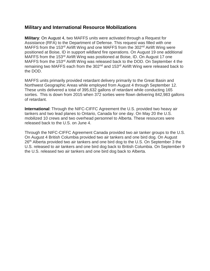## **Military and International Resource Mobilizations**

**Military**: On August 4, two MAFFS units were activated through a Request for Assistance (RFA) to the Department of Defense. This request was filled with one MAFFS from the 153<sup>rd</sup> Airlift Wing and one MAFFS from the 302<sup>nd</sup> Airlift Wing were positioned at Boise, ID in support wildland fire operations. On August 19 one additional MAFFS from the 153<sup>rd</sup> Airlift Wing was positioned at Boise, ID. On August 17 one MAFFS from the 153<sup>rd</sup> Airlift Wing was released back to the DOD. On September 4 the remaining two MAFFS each from the 302<sup>nd</sup> and 153<sup>rd</sup> Airlift Wing were released back to the DOD.

MAFFS units primarily provided retardant delivery primarily to the Great Basin and Northwest Geographic Areas while employed from August 4 through September 12. These units delivered a total of 395,632 gallons of retardant while conducting 165 sorties. This is down from 2015 when 372 sorties were flown delivering 842,983 gallons of retardant.

**International**: Through the NIFC-CIFFC Agreement the U.S. provided two heavy air tankers and two lead planes to Ontario, Canada for one day. On May 20 the U.S. mobilized 10 crews and two overhead personnel to Alberta. These resources were released back to the U.S. on June 4.

Through the NIFC-CIFFC Agreement Canada provided two air tanker groups to the U.S. On August 4 British Columbia provided two air tankers and one bird dog. On August 26<sup>th</sup> Alberta provided two air tankers and one bird dog to the U.S. On September 3 the U.S. released to air tankers and one bird dog back to British Columbia. On September 9 the U.S. released two air tankers and one bird dog back to Alberta.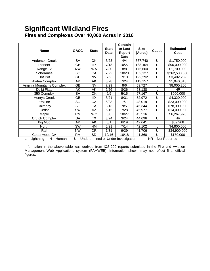# **Significant Wildland Fires Fires and Complexes Over 40,000 Acres in 2016**

| <b>Name</b>                     | <b>GACC</b>                                                  | <b>State</b> | <b>Start</b><br><b>Date</b> | Contain<br>or Last<br>Report<br><b>Date</b> | <b>Size</b><br>(Acres) | Cause | <b>Estimated</b><br>Cost |
|---------------------------------|--------------------------------------------------------------|--------------|-----------------------------|---------------------------------------------|------------------------|-------|--------------------------|
| <b>Anderson Creek</b>           | <b>SA</b>                                                    | OK           | 3/23                        | 4/4                                         | 367,740                | U     | \$1,750,000              |
| <b>Pioneer</b>                  | GВ                                                           | ID           | 7/18                        | 10/27                                       | 188,404                | U     | \$90,000,000             |
| Range 12                        | <b>NW</b>                                                    | <b>WA</b>    | 7/30                        | 8/8                                         | 176,600                | U     | \$1,700,000              |
| Soberanes                       | SO                                                           | CA           | 7/22                        | 10/23                                       | 132,127                | H     | \$262,500,000            |
| Hot Pot                         | GВ                                                           | NV           | 7/2                         | 7/10                                        | 122,292                | U     | \$3,402,259              |
| Alatna Complex                  | AK                                                           | AΚ           | 6/28                        | 7/24                                        | 113,157                | L     | \$1,040,018              |
| Virginia Mountains Complex      | GB                                                           | <b>NV</b>    | 7/29                        | 8/6                                         | 59,727                 |       | \$8,000,200              |
| Dulbi Flats                     | AK                                                           | AK           | 6/26                        | 8/26                                        | 58,138                 |       | NR.                      |
| 350 Complex                     | <b>SA</b>                                                    | OK           | 5/5                         | 5/15                                        | 57,167                 | U     | \$900,000                |
| <b>Henrys Creek</b>             | GВ                                                           | ID           | 8/21                        | 8/31                                        | 52,972                 | U     | \$4,320,000              |
| Erskine                         | SO                                                           | CA           | 6/23                        | 7/7                                         | 48,019                 | U     | \$23,000,000             |
| Chimney                         | SO                                                           | СA           | 8/13                        | 9/5                                         | 46,344                 | U     | \$78,300,000             |
| Cedar                           | <b>SW</b>                                                    | AZ           | 6/15                        | 7/28                                        | 45,977                 | U     | \$14,000,000             |
| Maple                           | RM                                                           | <b>WY</b>    | 8/8                         | 10/27                                       | 45,516                 |       | \$6,267,928              |
| <b>Crutch Complex</b>           | <b>SA</b>                                                    | ТX           | 3/24                        | 3/24                                        | 44,696                 | U     | NR.                      |
| <b>Big Mud</b>                  | AΚ                                                           | AK           | 6/1                         | 6/19                                        | 42,641                 |       | \$59,268                 |
| North                           | SW                                                           | <b>NM</b>    | 5/21                        | 7/14                                        | 42,102                 |       | \$4,800,000              |
| Rail                            | <b>NW</b>                                                    | OR           | 7/31                        | 9/29                                        | 41,706                 | U     | \$34,900,000             |
| Cottonwood CA                   | <b>RM</b>                                                    | <b>SD</b>    | 10/16                       | 10/18                                       | 41,360                 | U     | \$170,000                |
| $L -$ Lightning<br>$H - H$ uman | U - Undetermined or Under Investigation<br>NR - Not Reported |              |                             |                                             |                        |       |                          |

Information in the above table was derived from ICS-209 reports submitted in the Fire and Aviation Management Web Applications system (FAMWEB). Information shown may not reflect final official figures.